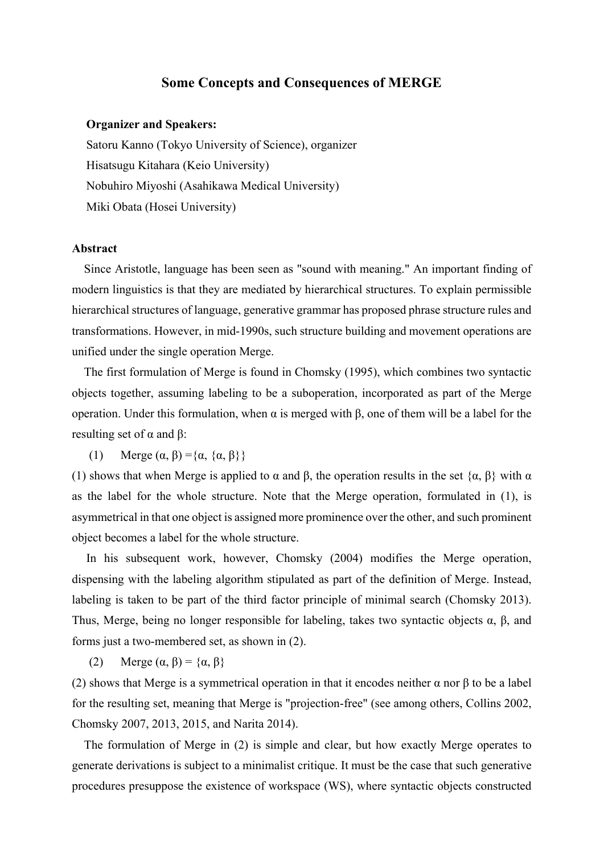## **Some Concepts and Consequences of MERGE**

## **Organizer and Speakers:**

Satoru Kanno (Tokyo University of Science), organizer Hisatsugu Kitahara (Keio University) Nobuhiro Miyoshi (Asahikawa Medical University) Miki Obata (Hosei University)

## **Abstract**

 Since Aristotle, language has been seen as "sound with meaning." An important finding of modern linguistics is that they are mediated by hierarchical structures. To explain permissible hierarchical structures of language, generative grammar has proposed phrase structure rules and transformations. However, in mid-1990s, such structure building and movement operations are unified under the single operation Merge.

 The first formulation of Merge is found in Chomsky (1995), which combines two syntactic objects together, assuming labeling to be a suboperation, incorporated as part of the Merge operation. Under this formulation, when α is merged with β, one of them will be a label for the resulting set of  $α$  and  $β$ :

(1) Merge  $(\alpha, \beta) = {\alpha, {\alpha, \beta}}$ 

(1) shows that when Merge is applied to  $\alpha$  and  $\beta$ , the operation results in the set  $\{\alpha, \beta\}$  with  $\alpha$ as the label for the whole structure. Note that the Merge operation, formulated in (1), is asymmetrical in that one object is assigned more prominence over the other, and such prominent object becomes a label for the whole structure.

In his subsequent work, however, Chomsky (2004) modifies the Merge operation, dispensing with the labeling algorithm stipulated as part of the definition of Merge. Instead, labeling is taken to be part of the third factor principle of minimal search (Chomsky 2013). Thus, Merge, being no longer responsible for labeling, takes two syntactic objects  $α$ ,  $β$ , and forms just a two-membered set, as shown in (2).

(2) Merge  $(\alpha, \beta) = {\alpha, \beta}$ 

(2) shows that Merge is a symmetrical operation in that it encodes neither  $\alpha$  nor  $\beta$  to be a label for the resulting set, meaning that Merge is "projection-free" (see among others, Collins 2002, Chomsky 2007, 2013, 2015, and Narita 2014).

 The formulation of Merge in (2) is simple and clear, but how exactly Merge operates to generate derivations is subject to a minimalist critique. It must be the case that such generative procedures presuppose the existence of workspace (WS), where syntactic objects constructed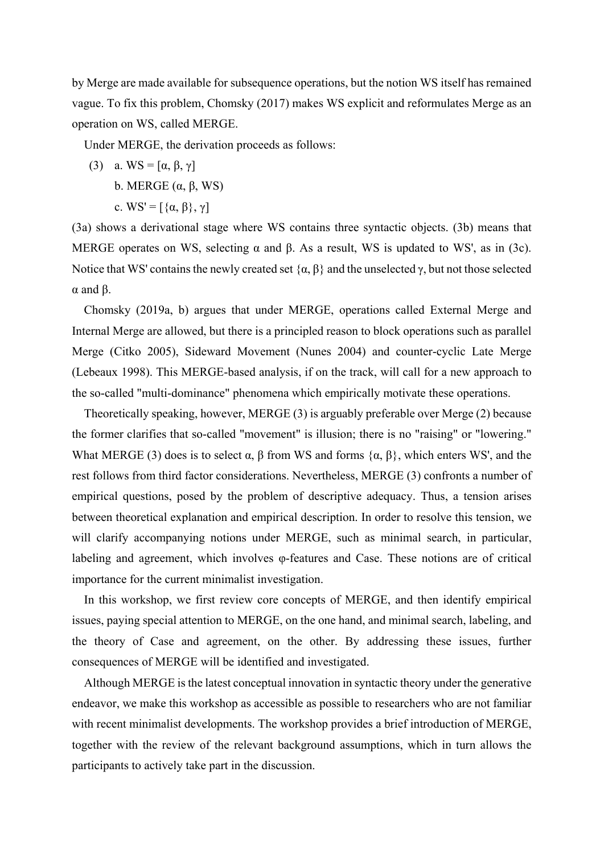by Merge are made available for subsequence operations, but the notion WS itself has remained vague. To fix this problem, Chomsky (2017) makes WS explicit and reformulates Merge as an operation on WS, called MERGE.

Under MERGE, the derivation proceeds as follows:

- (3) a. WS =  $[\alpha, \beta, \gamma]$ 
	- b. MERGE (α, β, WS)
	- c. WS' =  $[\{\alpha, \beta\}, \gamma]$

(3a) shows a derivational stage where WS contains three syntactic objects. (3b) means that MERGE operates on WS, selecting  $\alpha$  and  $\beta$ . As a result, WS is updated to WS', as in (3c). Notice that WS' contains the newly created set  $\{\alpha, \beta\}$  and the unselected γ, but not those selected α and β.

 Chomsky (2019a, b) argues that under MERGE, operations called External Merge and Internal Merge are allowed, but there is a principled reason to block operations such as parallel Merge (Citko 2005), Sideward Movement (Nunes 2004) and counter-cyclic Late Merge (Lebeaux 1998). This MERGE-based analysis, if on the track, will call for a new approach to the so-called "multi-dominance" phenomena which empirically motivate these operations.

 Theoretically speaking, however, MERGE (3) is arguably preferable over Merge (2) because the former clarifies that so-called "movement" is illusion; there is no "raising" or "lowering." What MERGE (3) does is to select  $\alpha$ ,  $\beta$  from WS and forms  $\{\alpha, \beta\}$ , which enters WS', and the rest follows from third factor considerations. Nevertheless, MERGE (3) confronts a number of empirical questions, posed by the problem of descriptive adequacy. Thus, a tension arises between theoretical explanation and empirical description. In order to resolve this tension, we will clarify accompanying notions under MERGE, such as minimal search, in particular, labeling and agreement, which involves φ-features and Case. These notions are of critical importance for the current minimalist investigation.

 In this workshop, we first review core concepts of MERGE, and then identify empirical issues, paying special attention to MERGE, on the one hand, and minimal search, labeling, and the theory of Case and agreement, on the other. By addressing these issues, further consequences of MERGE will be identified and investigated.

 Although MERGE is the latest conceptual innovation in syntactic theory under the generative endeavor, we make this workshop as accessible as possible to researchers who are not familiar with recent minimalist developments. The workshop provides a brief introduction of MERGE, together with the review of the relevant background assumptions, which in turn allows the participants to actively take part in the discussion.